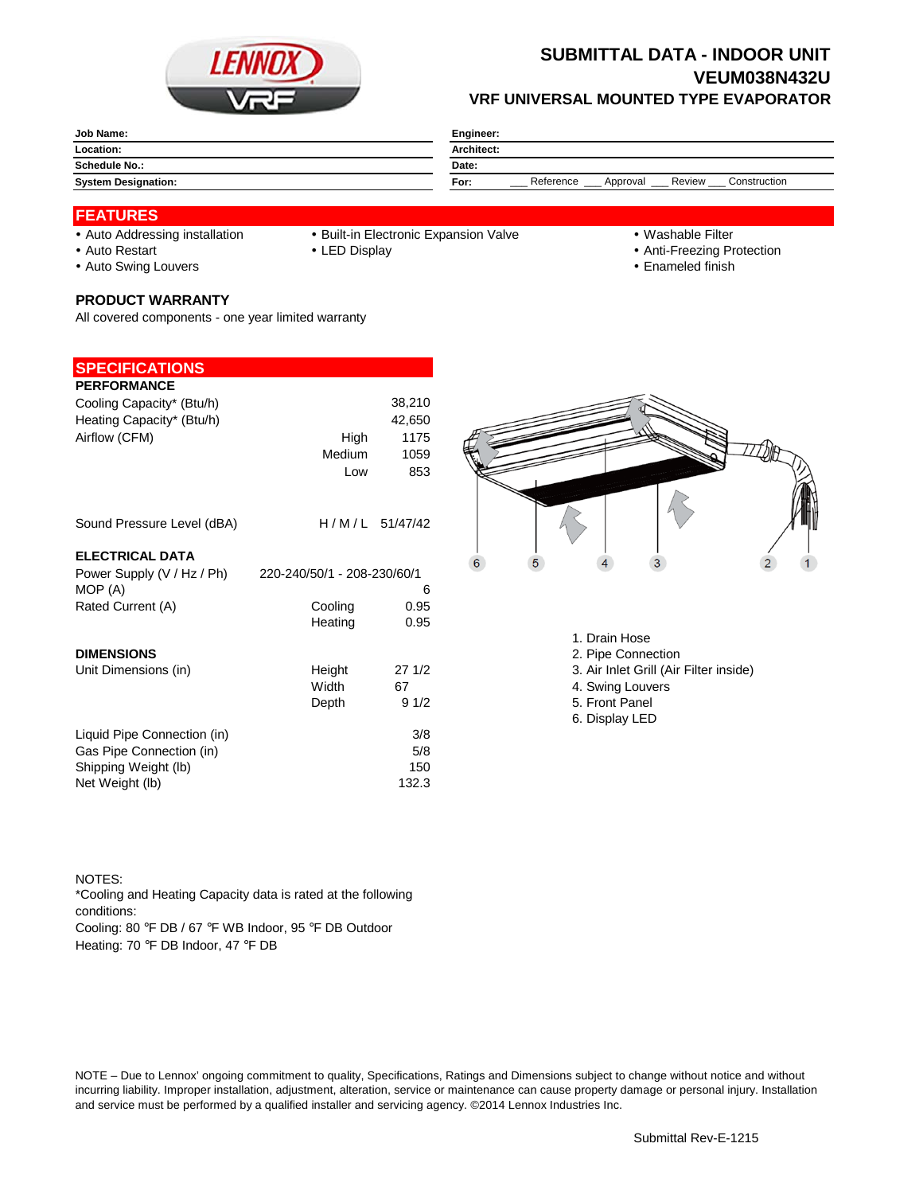

## **SUBMITTAL DATA - INDOOR UNIT VEUM038N432U VRF UNIVERSAL MOUNTED TYPE EVAPORATOR**

| Job Name:                  | Engineer:                                               |  |  |
|----------------------------|---------------------------------------------------------|--|--|
| Location:                  | Architect:                                              |  |  |
| <b>Schedule No.:</b>       | Date:                                                   |  |  |
| <b>System Designation:</b> | Reference<br>Review<br>Construction<br>For:<br>Approval |  |  |

### **FEATURES**

- 
- Auto Addressing installation Built-in Electronic Expansion Valve Washable Filter
	-
- Auto Restart **LED Display Community Auto Restart Auto Restart Community Community Community Community Community Community Community Community Community Community Community Community Community Community Community Communit** 
	-
- 
- Auto Swing Louvers **Enameled finish**

#### **PRODUCT WARRANTY**

All covered components - one year limited warranty

### **SPECIFICATIONS**

| <b>PERFORMANCE</b>                    |                                  |                  |
|---------------------------------------|----------------------------------|------------------|
| Cooling Capacity* (Btu/h)             |                                  | 38,210           |
| Heating Capacity* (Btu/h)             |                                  | 42,650           |
| Airflow (CFM)                         | High                             | 1175             |
|                                       | Medium                           | 1059             |
|                                       | Low                              | 853              |
| Sound Pressure Level (dBA)            |                                  | $H/M/L$ 51/47/42 |
| <b>ELECTRICAL DATA</b>                |                                  |                  |
| Power Supply (V / Hz / Ph)<br>MOP (A) | 220-240/50/1 - 208-230/60/1<br>6 |                  |
| Rated Current (A)                     | Cooling                          | 0.95             |
|                                       | Heating                          | 0.95             |
| <b>DIMENSIONS</b>                     |                                  |                  |
| Unit Dimensions (in)                  | Height                           | 271/2            |
|                                       | Width                            | 67               |
|                                       | Depth                            | 91/2             |
| Liquid Pipe Connection (in)           |                                  | 3/8              |
| Gas Pipe Connection (in)              |                                  | 5/8              |
| Shipping Weight (lb)                  |                                  | 150              |
| Net Weight (lb)                       |                                  | 132.3            |



- 1. Drain Hose
- 2. Pipe Connection
- 3. Air Inlet Grill (Air Filter inside)
- 4. Swing Louvers
- 5. Front Panel
- 6. Display LED

#### NOTES:

Cooling: 80 °F DB / 67 °F WB Indoor, 95 °F DB Outdoor Heating: 70 °F DB Indoor, 47 °F DB \*Cooling and Heating Capacity data is rated at the following conditions:

NOTE – Due to Lennox' ongoing commitment to quality, Specifications, Ratings and Dimensions subject to change without notice and without incurring liability. Improper installation, adjustment, alteration, service or maintenance can cause property damage or personal injury. Installation and service must be performed by a qualified installer and servicing agency. ©2014 Lennox Industries Inc.